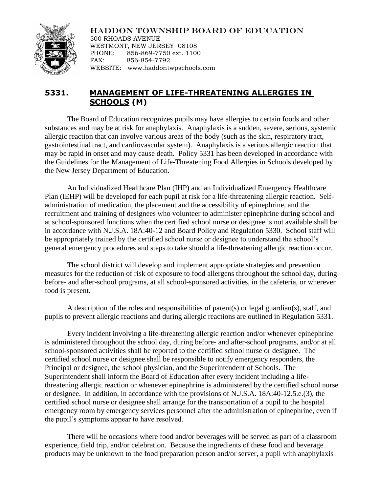## HADDON TOWNSHIP BOARD OF EDUCATION



500 RHOADS AVENUE WESTMONT, NEW JERSEY 08108 PHONE: 856-869-7750 ext. 1100 FAX: 856-854-7792 WEBSITE: www.haddontwpschools.com

## **5331. MANAGEMENT OF LIFE-THREATENING ALLERGIES IN SCHOOLS (M)**

The Board of Education recognizes pupils may have allergies to certain foods and other substances and may be at risk for anaphylaxis. Anaphylaxis is a sudden, severe, serious, systemic allergic reaction that can involve various areas of the body (such as the skin, respiratory tract, gastrointestinal tract, and cardiovascular system). Anaphylaxis is a serious allergic reaction that may be rapid in onset and may cause death. Policy 5331 has been developed in accordance with the Guidelines for the Management of Life-Threatening Food Allergies in Schools developed by the New Jersey Department of Education.

An Individualized Healthcare Plan (IHP) and an Individualized Emergency Healthcare Plan (IEHP) will be developed for each pupil at risk for a life-threatening allergic reaction. Selfadministration of medication, the placement and the accessibility of epinephrine, and the recruitment and training of designees who volunteer to administer epinephrine during school and at school-sponsored functions when the certified school nurse or designee is not available shall be in accordance with N.J.S.A. 18A:40-12 and Board Policy and Regulation 5330. School staff will be appropriately trained by the certified school nurse or designee to understand the school's general emergency procedures and steps to take should a life-threatening allergic reaction occur.

The school district will develop and implement appropriate strategies and prevention measures for the reduction of risk of exposure to food allergens throughout the school day, during before- and after-school programs, at all school-sponsored activities, in the cafeteria, or wherever food is present.

A description of the roles and responsibilities of parent(s) or legal guardian(s), staff, and pupils to prevent allergic reactions and during allergic reactions are outlined in Regulation 5331.

Every incident involving a life-threatening allergic reaction and/or whenever epinephrine is administered throughout the school day, during before- and after-school programs, and/or at all school-sponsored activities shall be reported to the certified school nurse or designee. The certified school nurse or designee shall be responsible to notify emergency responders, the Principal or designee, the school physician, and the Superintendent of Schools. The Superintendent shall inform the Board of Education after every incident including a lifethreatening allergic reaction or whenever epinephrine is administered by the certified school nurse or designee. In addition, in accordance with the provisions of N.J.S.A. 18A:40-12.5.e.(3), the certified school nurse or designee shall arrange for the transportation of a pupil to the hospital emergency room by emergency services personnel after the administration of epinephrine, even if the pupil's symptoms appear to have resolved.

There will be occasions where food and/or beverages will be served as part of a classroom experience, field trip, and/or celebration. Because the ingredients of these food and beverage products may be unknown to the food preparation person and/or server, a pupil with anaphylaxis